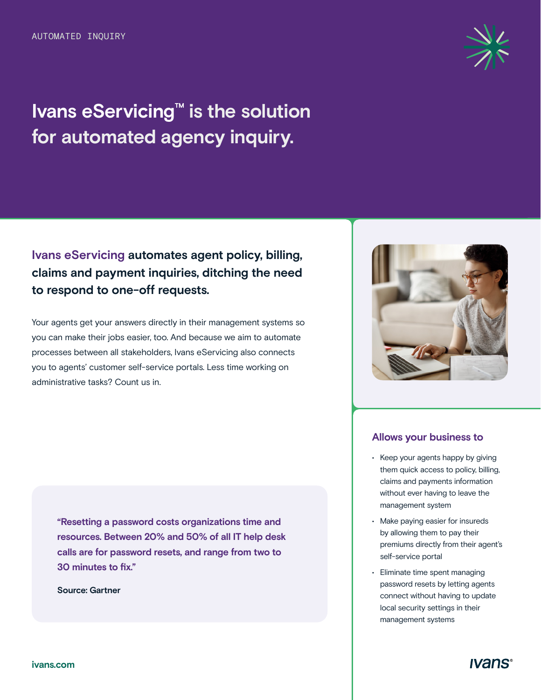# **Ivans eServicing™ is the solution for automated agency inquiry.**



## **Ivans eServicing automates agent policy, billing, claims and payment inquiries, ditching the need to respond to one-off requests.**

Your agents get your answers directly in their management systems so you can make their jobs easier, too. And because we aim to automate processes between all stakeholders, Ivans eServicing also connects you to agents' customer self-service portals. Less time working on administrative tasks? Count us in.

**"Resetting a password costs organizations time and resources. Between 20% and 50% of all IT help desk calls are for password resets, and range from two to 30 minutes to fix."** 

**Source: Gartner** 



#### **Allows your business to**

- Keep your agents happy by giving them quick access to policy, billing, claims and payments information without ever having to leave the management system
- Make paying easier for insureds by allowing them to pay their premiums directly from their agent's self-service portal
- Eliminate time spent managing password resets by letting agents connect without having to update local security settings in their management systems